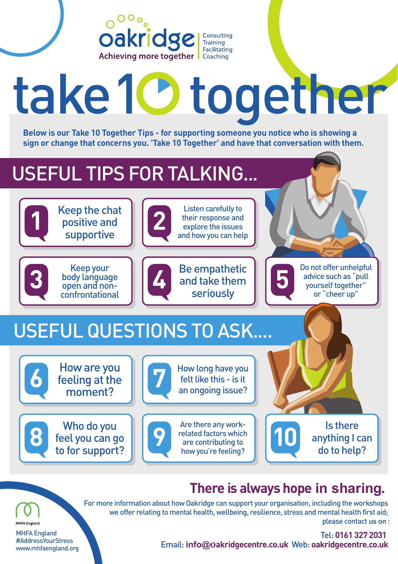

# take 10 together

**Below is our Take 10 Together Tips - for supporting someone you notice who is showing a sign or change that concerns you. 'Take 10 Together' and have that conversation with them.**

## USEFUL TIPS FOR TALKING...

moment?

Who do you feel you can go to for support?

**8**

MHFA England #AddressYourStress www.mhfaengland.org

**MHFA England** 



### For more information about how Oakridge can support your organisation, including the workshops we offer relating to mental health, wellbeing, resilience, stress and mental health first aid;

an ongoing issue?

Are there any workrelated factors which are contributing to how you're feeling?

**9**

Tel: **0161 327 2031** Email: **info@oakridgecentre.co.uk** Web: **oakridgecentre.co.uk**

**10**

**There is always hope in sharing.** 

Is there anything I can do to help?

please contact us on :